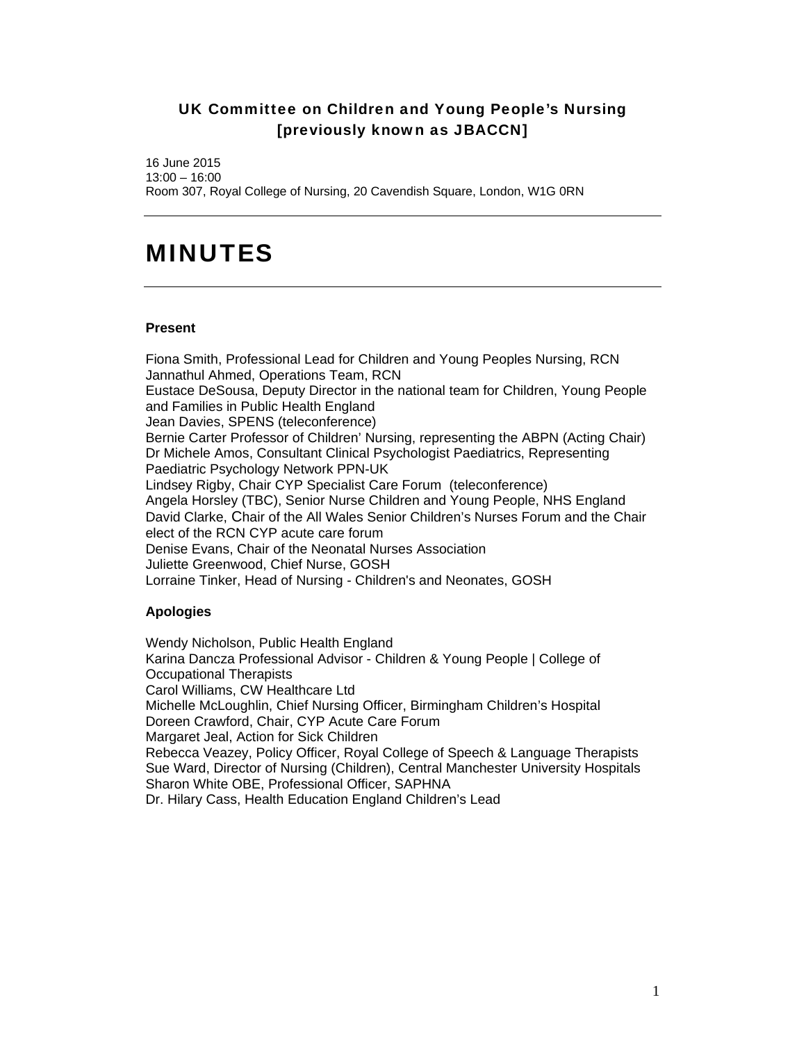## UK Committee on Children and Young People's Nursing [previously known as JBACCN]

16 June 2015 13:00 – 16:00 Room 307, Royal College of Nursing, 20 Cavendish Square, London, W1G 0RN

## MINUTES

## **Present**

Fiona Smith, Professional Lead for Children and Young Peoples Nursing, RCN Jannathul Ahmed, Operations Team, RCN Eustace DeSousa, Deputy Director in the national team for Children, Young People and Families in Public Health England Jean Davies, SPENS (teleconference) Bernie Carter Professor of Children' Nursing, representing the ABPN (Acting Chair) Dr Michele Amos, Consultant Clinical Psychologist Paediatrics, Representing Paediatric Psychology Network PPN-UK Lindsey Rigby, Chair CYP Specialist Care Forum (teleconference) Angela Horsley (TBC), Senior Nurse Children and Young People, NHS England David Clarke, Chair of the All Wales Senior Children's Nurses Forum and the Chair elect of the RCN CYP acute care forum Denise Evans, Chair of the Neonatal Nurses Association Juliette Greenwood, Chief Nurse, GOSH Lorraine Tinker, Head of Nursing - Children's and Neonates, GOSH

## **Apologies**

Wendy Nicholson, Public Health England Karina Dancza Professional Advisor - Children & Young People | College of Occupational Therapists Carol Williams, CW Healthcare Ltd Michelle McLoughlin, Chief Nursing Officer, Birmingham Children's Hospital Doreen Crawford, Chair, CYP Acute Care Forum Margaret Jeal, Action for Sick Children Rebecca Veazey, Policy Officer, Royal College of Speech & Language Therapists Sue Ward, Director of Nursing (Children), Central Manchester University Hospitals Sharon White OBE, Professional Officer, SAPHNA Dr. Hilary Cass, Health Education England Children's Lead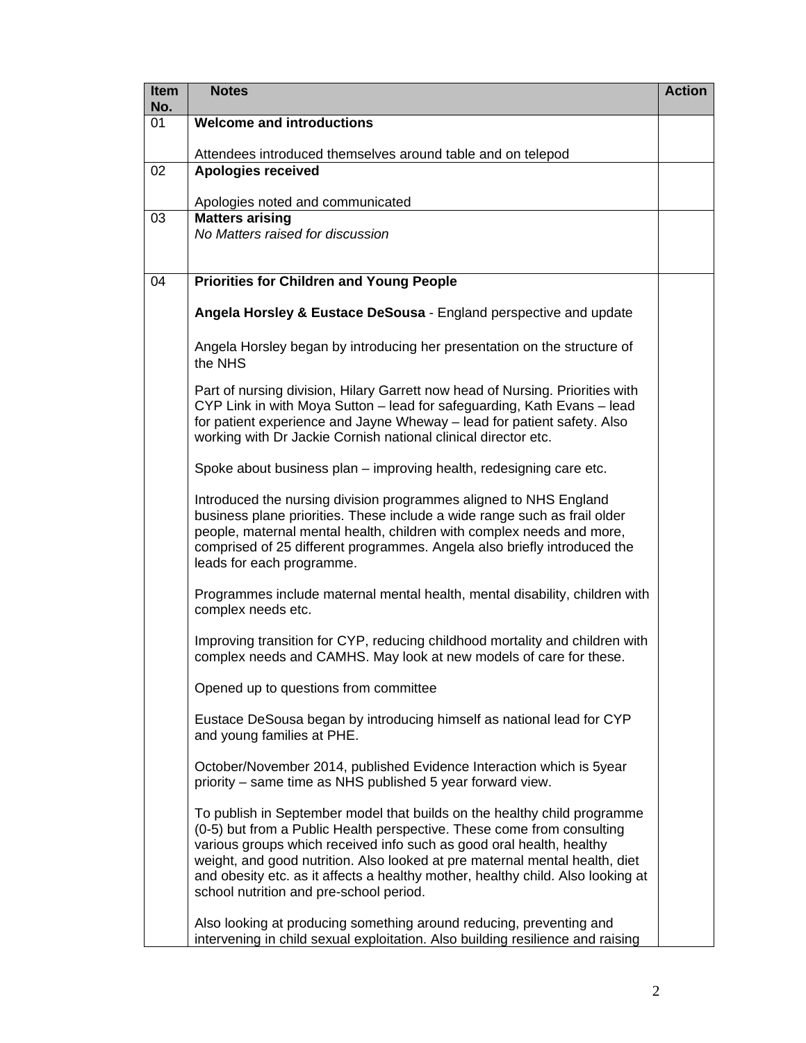| <b>Item</b><br>No. | <b>Notes</b>                                                                                                                                                                                                                                                                                                                                                                                                                            | <b>Action</b> |
|--------------------|-----------------------------------------------------------------------------------------------------------------------------------------------------------------------------------------------------------------------------------------------------------------------------------------------------------------------------------------------------------------------------------------------------------------------------------------|---------------|
| 01                 | <b>Welcome and introductions</b>                                                                                                                                                                                                                                                                                                                                                                                                        |               |
|                    | Attendees introduced themselves around table and on telepod                                                                                                                                                                                                                                                                                                                                                                             |               |
| 02                 | <b>Apologies received</b>                                                                                                                                                                                                                                                                                                                                                                                                               |               |
|                    | Apologies noted and communicated                                                                                                                                                                                                                                                                                                                                                                                                        |               |
| 03                 | <b>Matters arising</b><br>No Matters raised for discussion                                                                                                                                                                                                                                                                                                                                                                              |               |
|                    |                                                                                                                                                                                                                                                                                                                                                                                                                                         |               |
| 04                 | <b>Priorities for Children and Young People</b>                                                                                                                                                                                                                                                                                                                                                                                         |               |
|                    | Angela Horsley & Eustace DeSousa - England perspective and update                                                                                                                                                                                                                                                                                                                                                                       |               |
|                    | Angela Horsley began by introducing her presentation on the structure of<br>the NHS                                                                                                                                                                                                                                                                                                                                                     |               |
|                    | Part of nursing division, Hilary Garrett now head of Nursing. Priorities with<br>CYP Link in with Moya Sutton - lead for safeguarding, Kath Evans - lead<br>for patient experience and Jayne Wheway - lead for patient safety. Also<br>working with Dr Jackie Cornish national clinical director etc.                                                                                                                                   |               |
|                    | Spoke about business plan – improving health, redesigning care etc.                                                                                                                                                                                                                                                                                                                                                                     |               |
|                    | Introduced the nursing division programmes aligned to NHS England<br>business plane priorities. These include a wide range such as frail older<br>people, maternal mental health, children with complex needs and more,<br>comprised of 25 different programmes. Angela also briefly introduced the<br>leads for each programme.                                                                                                        |               |
|                    | Programmes include maternal mental health, mental disability, children with<br>complex needs etc.                                                                                                                                                                                                                                                                                                                                       |               |
|                    | Improving transition for CYP, reducing childhood mortality and children with<br>complex needs and CAMHS. May look at new models of care for these.                                                                                                                                                                                                                                                                                      |               |
|                    | Opened up to questions from committee                                                                                                                                                                                                                                                                                                                                                                                                   |               |
|                    | Eustace DeSousa began by introducing himself as national lead for CYP<br>and young families at PHE.                                                                                                                                                                                                                                                                                                                                     |               |
|                    | October/November 2014, published Evidence Interaction which is 5year<br>priority – same time as NHS published 5 year forward view.                                                                                                                                                                                                                                                                                                      |               |
|                    | To publish in September model that builds on the healthy child programme<br>(0-5) but from a Public Health perspective. These come from consulting<br>various groups which received info such as good oral health, healthy<br>weight, and good nutrition. Also looked at pre maternal mental health, diet<br>and obesity etc. as it affects a healthy mother, healthy child. Also looking at<br>school nutrition and pre-school period. |               |
|                    | Also looking at producing something around reducing, preventing and<br>intervening in child sexual exploitation. Also building resilience and raising                                                                                                                                                                                                                                                                                   |               |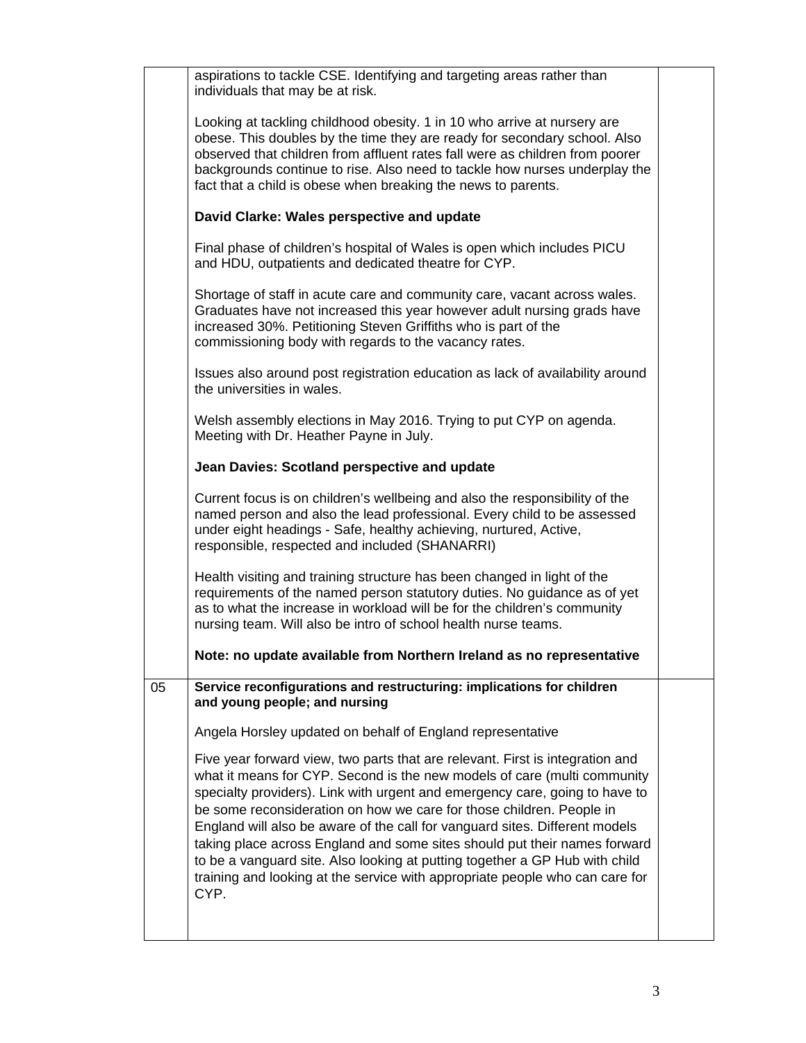|    | aspirations to tackle CSE. Identifying and targeting areas rather than<br>individuals that may be at risk.                                                                                                                                                                                                                                                                                                                                                                                                                                                                                                                                          |  |
|----|-----------------------------------------------------------------------------------------------------------------------------------------------------------------------------------------------------------------------------------------------------------------------------------------------------------------------------------------------------------------------------------------------------------------------------------------------------------------------------------------------------------------------------------------------------------------------------------------------------------------------------------------------------|--|
|    | Looking at tackling childhood obesity. 1 in 10 who arrive at nursery are<br>obese. This doubles by the time they are ready for secondary school. Also<br>observed that children from affluent rates fall were as children from poorer<br>backgrounds continue to rise. Also need to tackle how nurses underplay the<br>fact that a child is obese when breaking the news to parents.                                                                                                                                                                                                                                                                |  |
|    | David Clarke: Wales perspective and update                                                                                                                                                                                                                                                                                                                                                                                                                                                                                                                                                                                                          |  |
|    | Final phase of children's hospital of Wales is open which includes PICU<br>and HDU, outpatients and dedicated theatre for CYP.                                                                                                                                                                                                                                                                                                                                                                                                                                                                                                                      |  |
|    | Shortage of staff in acute care and community care, vacant across wales.<br>Graduates have not increased this year however adult nursing grads have<br>increased 30%. Petitioning Steven Griffiths who is part of the<br>commissioning body with regards to the vacancy rates.                                                                                                                                                                                                                                                                                                                                                                      |  |
|    | Issues also around post registration education as lack of availability around<br>the universities in wales.                                                                                                                                                                                                                                                                                                                                                                                                                                                                                                                                         |  |
|    | Welsh assembly elections in May 2016. Trying to put CYP on agenda.<br>Meeting with Dr. Heather Payne in July.                                                                                                                                                                                                                                                                                                                                                                                                                                                                                                                                       |  |
|    | Jean Davies: Scotland perspective and update                                                                                                                                                                                                                                                                                                                                                                                                                                                                                                                                                                                                        |  |
|    | Current focus is on children's wellbeing and also the responsibility of the<br>named person and also the lead professional. Every child to be assessed<br>under eight headings - Safe, healthy achieving, nurtured, Active,<br>responsible, respected and included (SHANARRI)                                                                                                                                                                                                                                                                                                                                                                       |  |
|    | Health visiting and training structure has been changed in light of the<br>requirements of the named person statutory duties. No guidance as of yet<br>as to what the increase in workload will be for the children's community<br>nursing team. Will also be intro of school health nurse teams.                                                                                                                                                                                                                                                                                                                                                   |  |
|    | Note: no update available from Northern Ireland as no representative                                                                                                                                                                                                                                                                                                                                                                                                                                                                                                                                                                                |  |
| 05 | Service reconfigurations and restructuring: implications for children<br>and young people; and nursing                                                                                                                                                                                                                                                                                                                                                                                                                                                                                                                                              |  |
|    | Angela Horsley updated on behalf of England representative                                                                                                                                                                                                                                                                                                                                                                                                                                                                                                                                                                                          |  |
|    | Five year forward view, two parts that are relevant. First is integration and<br>what it means for CYP. Second is the new models of care (multi community<br>specialty providers). Link with urgent and emergency care, going to have to<br>be some reconsideration on how we care for those children. People in<br>England will also be aware of the call for vanguard sites. Different models<br>taking place across England and some sites should put their names forward<br>to be a vanguard site. Also looking at putting together a GP Hub with child<br>training and looking at the service with appropriate people who can care for<br>CYP. |  |
|    |                                                                                                                                                                                                                                                                                                                                                                                                                                                                                                                                                                                                                                                     |  |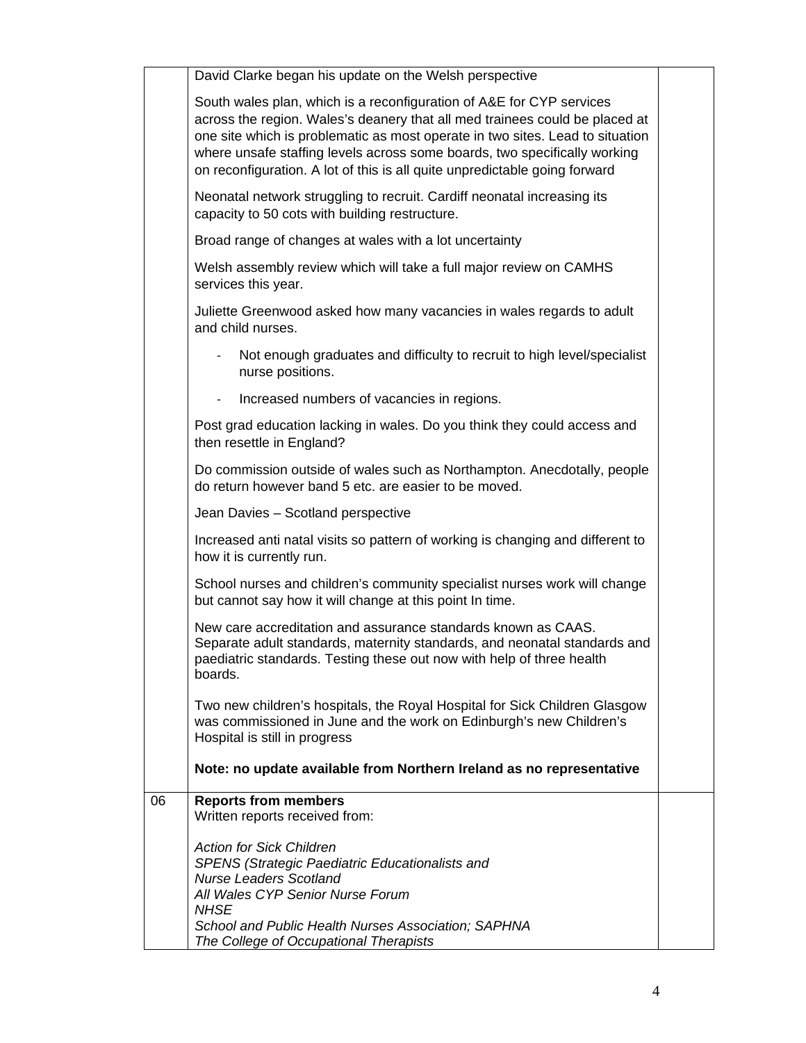|    | David Clarke began his update on the Welsh perspective                                                                                                                                                                                                                                                                                                                                          |  |
|----|-------------------------------------------------------------------------------------------------------------------------------------------------------------------------------------------------------------------------------------------------------------------------------------------------------------------------------------------------------------------------------------------------|--|
|    | South wales plan, which is a reconfiguration of A&E for CYP services<br>across the region. Wales's deanery that all med trainees could be placed at<br>one site which is problematic as most operate in two sites. Lead to situation<br>where unsafe staffing levels across some boards, two specifically working<br>on reconfiguration. A lot of this is all quite unpredictable going forward |  |
|    | Neonatal network struggling to recruit. Cardiff neonatal increasing its<br>capacity to 50 cots with building restructure.                                                                                                                                                                                                                                                                       |  |
|    | Broad range of changes at wales with a lot uncertainty                                                                                                                                                                                                                                                                                                                                          |  |
|    | Welsh assembly review which will take a full major review on CAMHS<br>services this year.                                                                                                                                                                                                                                                                                                       |  |
|    | Juliette Greenwood asked how many vacancies in wales regards to adult<br>and child nurses.                                                                                                                                                                                                                                                                                                      |  |
|    | Not enough graduates and difficulty to recruit to high level/specialist<br>nurse positions.                                                                                                                                                                                                                                                                                                     |  |
|    | Increased numbers of vacancies in regions.                                                                                                                                                                                                                                                                                                                                                      |  |
|    | Post grad education lacking in wales. Do you think they could access and<br>then resettle in England?                                                                                                                                                                                                                                                                                           |  |
|    | Do commission outside of wales such as Northampton. Anecdotally, people<br>do return however band 5 etc. are easier to be moved.                                                                                                                                                                                                                                                                |  |
|    | Jean Davies - Scotland perspective                                                                                                                                                                                                                                                                                                                                                              |  |
|    | Increased anti natal visits so pattern of working is changing and different to<br>how it is currently run.                                                                                                                                                                                                                                                                                      |  |
|    | School nurses and children's community specialist nurses work will change<br>but cannot say how it will change at this point In time.                                                                                                                                                                                                                                                           |  |
|    | New care accreditation and assurance standards known as CAAS.<br>Separate adult standards, maternity standards, and neonatal standards and<br>paediatric standards. Testing these out now with help of three health<br>boards.                                                                                                                                                                  |  |
|    | Two new children's hospitals, the Royal Hospital for Sick Children Glasgow<br>was commissioned in June and the work on Edinburgh's new Children's<br>Hospital is still in progress                                                                                                                                                                                                              |  |
|    | Note: no update available from Northern Ireland as no representative                                                                                                                                                                                                                                                                                                                            |  |
| 06 | <b>Reports from members</b><br>Written reports received from:                                                                                                                                                                                                                                                                                                                                   |  |
|    | <b>Action for Sick Children</b><br><b>SPENS (Strategic Paediatric Educationalists and</b><br><b>Nurse Leaders Scotland</b><br>All Wales CYP Senior Nurse Forum<br><b>NHSE</b>                                                                                                                                                                                                                   |  |
|    | School and Public Health Nurses Association; SAPHNA<br>The College of Occupational Therapists                                                                                                                                                                                                                                                                                                   |  |